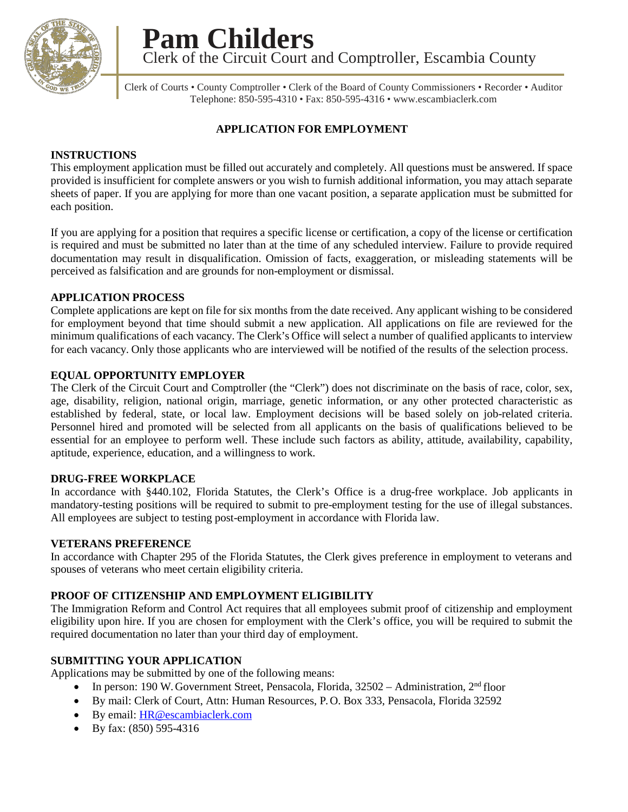

**Pam Childers** Clerk of the Circuit Court and Comptroller, Escambia County

Clerk of Courts • County Comptroller • Clerk of the Board of County Commissioners • Recorder • Auditor Telephone: 850-595-4310 • Fax: 850-595-4316 [• www.escambiaclerk.com](http://www.escambiaclerk.com/)

### **APPLICATION FOR EMPLOYMENT**

### **INSTRUCTIONS**

This employment application must be filled out accurately and completely. All questions must be answered. If space provided is insufficient for complete answers or you wish to furnish additional information, you may attach separate sheets of paper. If you are applying for more than one vacant position, a separate application must be submitted for each position.

If you are applying for a position that requires a specific license or certification, a copy of the license or certification is required and must be submitted no later than at the time of any scheduled interview. Failure to provide required documentation may result in disqualification. Omission of facts, exaggeration, or misleading statements will be perceived as falsification and are grounds for non-employment or dismissal.

#### **APPLICATION PROCESS**

Complete applications are kept on file for six months from the date received. Any applicant wishing to be considered for employment beyond that time should submit a new application. All applications on file are reviewed for the minimum qualifications of each vacancy. The Clerk's Office will select a number of qualified applicants to interview for each vacancy. Only those applicants who are interviewed will be notified of the results of the selection process.

#### **EQUAL OPPORTUNITY EMPLOYER**

The Clerk of the Circuit Court and Comptroller (the "Clerk") does not discriminate on the basis of race, color, sex, age, disability, religion, national origin, marriage, genetic information, or any other protected characteristic as established by federal, state, or local law. Employment decisions will be based solely on job-related criteria. Personnel hired and promoted will be selected from all applicants on the basis of qualifications believed to be essential for an employee to perform well. These include such factors as ability, attitude, availability, capability, aptitude, experience, education, and a willingness to work.

#### **DRUG-FREE WORKPLACE**

In accordance with §440.102, Florida Statutes, the Clerk's Office is a drug-free workplace. Job applicants in mandatory-testing positions will be required to submit to pre-employment testing for the use of illegal substances. All employees are subject to testing post-employment in accordance with Florida law.

#### **VETERANS PREFERENCE**

In accordance with Chapter 295 of the Florida Statutes, the Clerk gives preference in employment to veterans and spouses of veterans who meet certain eligibility criteria.

#### **PROOF OF CITIZENSHIP AND EMPLOYMENT ELIGIBILITY**

The Immigration Reform and Control Act requires that all employees submit proof of citizenship and employment eligibility upon hire. If you are chosen for employment with the Clerk's office, you will be required to submit the required documentation no later than your third day of employment.

#### **SUBMITTING YOUR APPLICATION**

Applications may be submitted by one of the following means:

- In person: 190 W. Government Street, Pensacola, Florida, 32502 Administration, 2nd floor
- By mail: Clerk of Court, Attn: Human Resources, P. O. Box 333, Pensacola, Florida 32592
- By email: [HR@escambiaclerk.com](mailto:hr@escambiaclerk.com)
- By fax: (850) 595-4316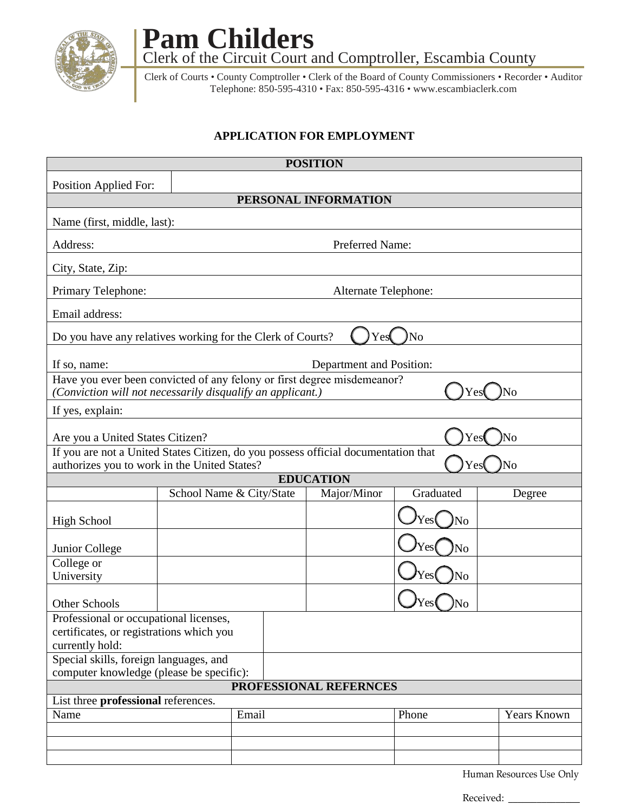

**Pam Childers** Clerk of the Circuit Court and Comptroller, Escambia County

Clerk of Courts • County Comptroller • Clerk of the Board of County Commissioners • Recorder • Auditor Telephone: 850-595-4310 • Fax: 850-595-4316 • [www.escambiaclerk.com](http://www.escambiaclerk.com/)

## **APPLICATION FOR EMPLOYMENT**

| <b>POSITION</b>                                                                                                                             |                      |  |                          |       |             |  |  |  |  |  |  |  |  |  |
|---------------------------------------------------------------------------------------------------------------------------------------------|----------------------|--|--------------------------|-------|-------------|--|--|--|--|--|--|--|--|--|
| <b>Position Applied For:</b>                                                                                                                |                      |  |                          |       |             |  |  |  |  |  |  |  |  |  |
|                                                                                                                                             | PERSONAL INFORMATION |  |                          |       |             |  |  |  |  |  |  |  |  |  |
| Name (first, middle, last):                                                                                                                 |                      |  |                          |       |             |  |  |  |  |  |  |  |  |  |
| Address:                                                                                                                                    | Preferred Name:      |  |                          |       |             |  |  |  |  |  |  |  |  |  |
| City, State, Zip:                                                                                                                           |                      |  |                          |       |             |  |  |  |  |  |  |  |  |  |
| Primary Telephone:                                                                                                                          | Alternate Telephone: |  |                          |       |             |  |  |  |  |  |  |  |  |  |
| Email address:                                                                                                                              |                      |  |                          |       |             |  |  |  |  |  |  |  |  |  |
| Do you have any relatives working for the Clerk of Courts?<br>Yes<br>No                                                                     |                      |  |                          |       |             |  |  |  |  |  |  |  |  |  |
| If so, name:                                                                                                                                |                      |  | Department and Position: |       |             |  |  |  |  |  |  |  |  |  |
| Have you ever been convicted of any felony or first degree misdemeanor?<br>(Conviction will not necessarily disqualify an applicant.)<br>No |                      |  |                          |       |             |  |  |  |  |  |  |  |  |  |
| If yes, explain:                                                                                                                            |                      |  |                          |       |             |  |  |  |  |  |  |  |  |  |
| Are you a United States Citizen?<br>Yes<br>No                                                                                               |                      |  |                          |       |             |  |  |  |  |  |  |  |  |  |
| If you are not a United States Citizen, do you possess official documentation that                                                          |                      |  |                          |       |             |  |  |  |  |  |  |  |  |  |
| authorizes you to work in the United States?                                                                                                |                      |  |                          | Yes   | No          |  |  |  |  |  |  |  |  |  |
| <b>EDUCATION</b><br>School Name & City/State<br>Graduated<br>Major/Minor<br>Degree                                                          |                      |  |                          |       |             |  |  |  |  |  |  |  |  |  |
|                                                                                                                                             |                      |  |                          |       |             |  |  |  |  |  |  |  |  |  |
| <b>High School</b>                                                                                                                          |                      |  |                          | No    |             |  |  |  |  |  |  |  |  |  |
| Junior College                                                                                                                              |                      |  |                          | No    |             |  |  |  |  |  |  |  |  |  |
| College or<br>University                                                                                                                    |                      |  |                          | No    |             |  |  |  |  |  |  |  |  |  |
| Other Schools                                                                                                                               |                      |  |                          | Ñо    |             |  |  |  |  |  |  |  |  |  |
| Professional or occupational licenses,                                                                                                      |                      |  |                          |       |             |  |  |  |  |  |  |  |  |  |
| certificates, or registrations which you                                                                                                    |                      |  |                          |       |             |  |  |  |  |  |  |  |  |  |
| currently hold:                                                                                                                             |                      |  |                          |       |             |  |  |  |  |  |  |  |  |  |
| Special skills, foreign languages, and                                                                                                      |                      |  |                          |       |             |  |  |  |  |  |  |  |  |  |
| computer knowledge (please be specific):                                                                                                    |                      |  |                          |       |             |  |  |  |  |  |  |  |  |  |
|                                                                                                                                             |                      |  | PROFESSIONAL REFERNCES   |       |             |  |  |  |  |  |  |  |  |  |
| List three professional references.                                                                                                         |                      |  |                          |       |             |  |  |  |  |  |  |  |  |  |
| Name                                                                                                                                        | Email                |  |                          | Phone | Years Known |  |  |  |  |  |  |  |  |  |
|                                                                                                                                             |                      |  |                          |       |             |  |  |  |  |  |  |  |  |  |
|                                                                                                                                             |                      |  |                          |       |             |  |  |  |  |  |  |  |  |  |
|                                                                                                                                             |                      |  |                          |       |             |  |  |  |  |  |  |  |  |  |

Human Resources Use Only

Received: \_\_\_\_\_\_\_\_\_\_\_\_\_\_\_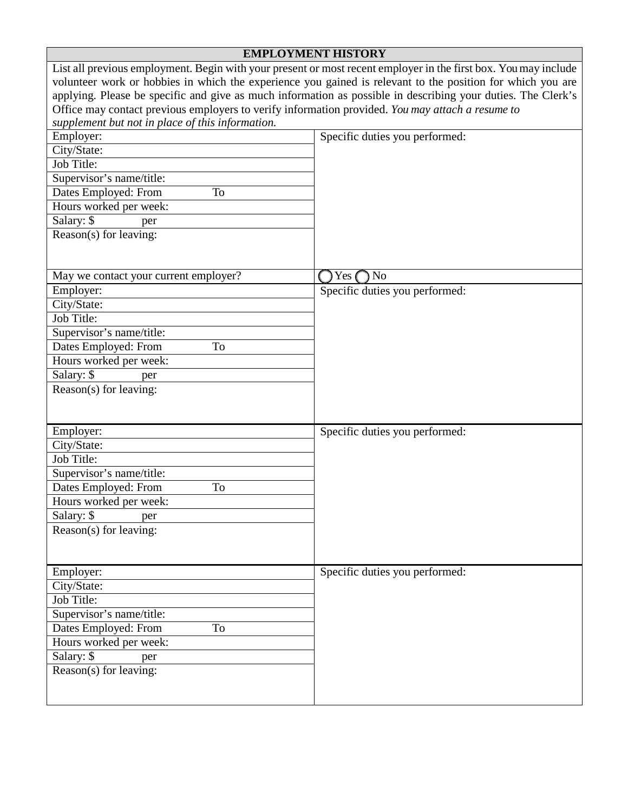|                                                                                                              | <b>EMPLOYMENT HISTORY</b>                                                                                       |  |  |  |  |  |  |  |  |  |  |
|--------------------------------------------------------------------------------------------------------------|-----------------------------------------------------------------------------------------------------------------|--|--|--|--|--|--|--|--|--|--|
|                                                                                                              | List all previous employment. Begin with your present or most recent employer in the first box. You may include |  |  |  |  |  |  |  |  |  |  |
| volunteer work or hobbies in which the experience you gained is relevant to the position for which you are   |                                                                                                                 |  |  |  |  |  |  |  |  |  |  |
| applying. Please be specific and give as much information as possible in describing your duties. The Clerk's |                                                                                                                 |  |  |  |  |  |  |  |  |  |  |
| Office may contact previous employers to verify information provided. You may attach a resume to             |                                                                                                                 |  |  |  |  |  |  |  |  |  |  |
| supplement but not in place of this information.                                                             |                                                                                                                 |  |  |  |  |  |  |  |  |  |  |
| Employer:                                                                                                    | Specific duties you performed:                                                                                  |  |  |  |  |  |  |  |  |  |  |
| City/State:                                                                                                  |                                                                                                                 |  |  |  |  |  |  |  |  |  |  |
| Job Title:                                                                                                   |                                                                                                                 |  |  |  |  |  |  |  |  |  |  |
| Supervisor's name/title:                                                                                     |                                                                                                                 |  |  |  |  |  |  |  |  |  |  |
| Dates Employed: From<br><b>To</b>                                                                            |                                                                                                                 |  |  |  |  |  |  |  |  |  |  |
| Hours worked per week:                                                                                       |                                                                                                                 |  |  |  |  |  |  |  |  |  |  |
| Salary: \$<br>per                                                                                            |                                                                                                                 |  |  |  |  |  |  |  |  |  |  |
| Reason(s) for leaving:                                                                                       |                                                                                                                 |  |  |  |  |  |  |  |  |  |  |
|                                                                                                              |                                                                                                                 |  |  |  |  |  |  |  |  |  |  |
|                                                                                                              |                                                                                                                 |  |  |  |  |  |  |  |  |  |  |
| May we contact your current employer?                                                                        | N <sub>o</sub><br>Yes                                                                                           |  |  |  |  |  |  |  |  |  |  |
| Employer:                                                                                                    | Specific duties you performed:                                                                                  |  |  |  |  |  |  |  |  |  |  |
| City/State:                                                                                                  |                                                                                                                 |  |  |  |  |  |  |  |  |  |  |
| Job Title:                                                                                                   |                                                                                                                 |  |  |  |  |  |  |  |  |  |  |
| Supervisor's name/title:                                                                                     |                                                                                                                 |  |  |  |  |  |  |  |  |  |  |
| Dates Employed: From<br>To                                                                                   |                                                                                                                 |  |  |  |  |  |  |  |  |  |  |
| Hours worked per week:                                                                                       |                                                                                                                 |  |  |  |  |  |  |  |  |  |  |
| Salary: \$<br>per                                                                                            |                                                                                                                 |  |  |  |  |  |  |  |  |  |  |
| Reason(s) for leaving:                                                                                       |                                                                                                                 |  |  |  |  |  |  |  |  |  |  |
|                                                                                                              |                                                                                                                 |  |  |  |  |  |  |  |  |  |  |
|                                                                                                              |                                                                                                                 |  |  |  |  |  |  |  |  |  |  |
| Employer:                                                                                                    | Specific duties you performed:                                                                                  |  |  |  |  |  |  |  |  |  |  |
| City/State:                                                                                                  |                                                                                                                 |  |  |  |  |  |  |  |  |  |  |
| Job Title:                                                                                                   |                                                                                                                 |  |  |  |  |  |  |  |  |  |  |
| Supervisor's name/title:                                                                                     |                                                                                                                 |  |  |  |  |  |  |  |  |  |  |
| Dates Employed: From<br>To                                                                                   |                                                                                                                 |  |  |  |  |  |  |  |  |  |  |
| Hours worked per week:                                                                                       |                                                                                                                 |  |  |  |  |  |  |  |  |  |  |
| Salary: \$<br>per                                                                                            |                                                                                                                 |  |  |  |  |  |  |  |  |  |  |
| Reason(s) for leaving:                                                                                       |                                                                                                                 |  |  |  |  |  |  |  |  |  |  |
|                                                                                                              |                                                                                                                 |  |  |  |  |  |  |  |  |  |  |
|                                                                                                              |                                                                                                                 |  |  |  |  |  |  |  |  |  |  |
| Employer:                                                                                                    | Specific duties you performed:                                                                                  |  |  |  |  |  |  |  |  |  |  |
| City/State:                                                                                                  |                                                                                                                 |  |  |  |  |  |  |  |  |  |  |
| Job Title:                                                                                                   |                                                                                                                 |  |  |  |  |  |  |  |  |  |  |
| Supervisor's name/title:                                                                                     |                                                                                                                 |  |  |  |  |  |  |  |  |  |  |
| Dates Employed: From<br>To                                                                                   |                                                                                                                 |  |  |  |  |  |  |  |  |  |  |
| Hours worked per week:                                                                                       |                                                                                                                 |  |  |  |  |  |  |  |  |  |  |
| Salary: \$<br>per                                                                                            |                                                                                                                 |  |  |  |  |  |  |  |  |  |  |
| Reason(s) for leaving:                                                                                       |                                                                                                                 |  |  |  |  |  |  |  |  |  |  |
|                                                                                                              |                                                                                                                 |  |  |  |  |  |  |  |  |  |  |
|                                                                                                              |                                                                                                                 |  |  |  |  |  |  |  |  |  |  |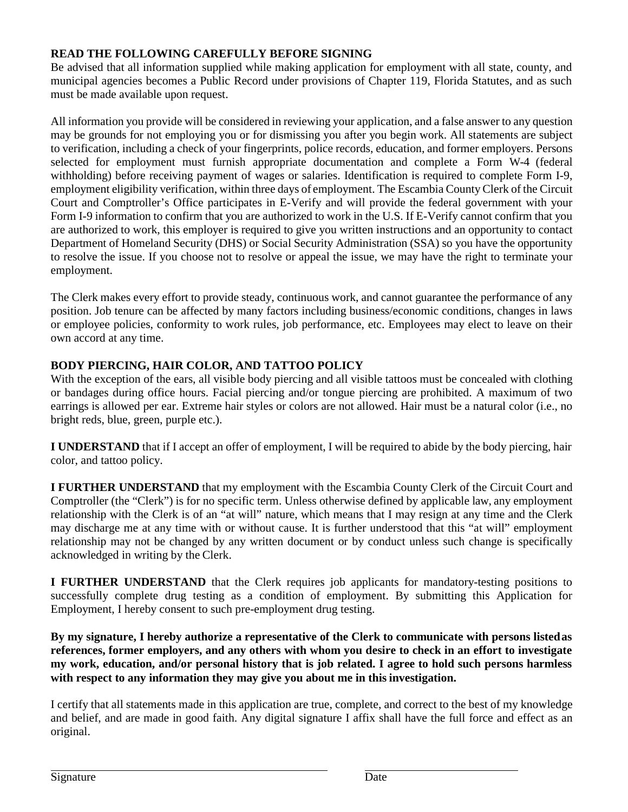### **READ THE FOLLOWING CAREFULLY BEFORE SIGNING**

Be advised that all information supplied while making application for employment with all state, county, and municipal agencies becomes a Public Record under provisions of Chapter 119, Florida Statutes, and as such must be made available upon request.

All information you provide will be considered in reviewing your application, and a false answer to any question may be grounds for not employing you or for dismissing you after you begin work. All statements are subject to verification, including a check of your fingerprints, police records, education, and former employers. Persons selected for employment must furnish appropriate documentation and complete a Form W-4 (federal withholding) before receiving payment of wages or salaries. Identification is required to complete Form I-9, employment eligibility verification, within three days of employment. The Escambia County Clerk of the Circuit Court and Comptroller's Office participates in E-Verify and will provide the federal government with your Form I-9 information to confirm that you are authorized to work in the U.S. If E-Verify cannot confirm that you are authorized to work, this employer is required to give you written instructions and an opportunity to contact Department of Homeland Security (DHS) or Social Security Administration (SSA) so you have the opportunity to resolve the issue. If you choose not to resolve or appeal the issue, we may have the right to terminate your employment.

The Clerk makes every effort to provide steady, continuous work, and cannot guarantee the performance of any position. Job tenure can be affected by many factors including business/economic conditions, changes in laws or employee policies, conformity to work rules, job performance, etc. Employees may elect to leave on their own accord at any time.

# **BODY PIERCING, HAIR COLOR, AND TATTOO POLICY**

With the exception of the ears, all visible body piercing and all visible tattoos must be concealed with clothing or bandages during office hours. Facial piercing and/or tongue piercing are prohibited. A maximum of two earrings is allowed per ear. Extreme hair styles or colors are not allowed. Hair must be a natural color (i.e., no bright reds, blue, green, purple etc.).

**I UNDERSTAND** that if I accept an offer of employment, I will be required to abide by the body piercing, hair color, and tattoo policy.

**I FURTHER UNDERSTAND** that my employment with the Escambia County Clerk of the Circuit Court and Comptroller (the "Clerk") is for no specific term. Unless otherwise defined by applicable law, any employment relationship with the Clerk is of an "at will" nature, which means that I may resign at any time and the Clerk may discharge me at any time with or without cause. It is further understood that this "at will" employment relationship may not be changed by any written document or by conduct unless such change is specifically acknowledged in writing by the Clerk.

**I FURTHER UNDERSTAND** that the Clerk requires job applicants for mandatory-testing positions to successfully complete drug testing as a condition of employment. By submitting this Application for Employment, I hereby consent to such pre-employment drug testing.

**By my signature, I hereby authorize a representative of the Clerk to communicate with persons listedas references, former employers, and any others with whom you desire to check in an effort to investigate my work, education, and/or personal history that is job related. I agree to hold such persons harmless with respect to any information they may give you about me in this investigation.**

I certify that all statements made in this application are true, complete, and correct to the best of my knowledge and belief, and are made in good faith. Any digital signature I affix shall have the full force and effect as an original.